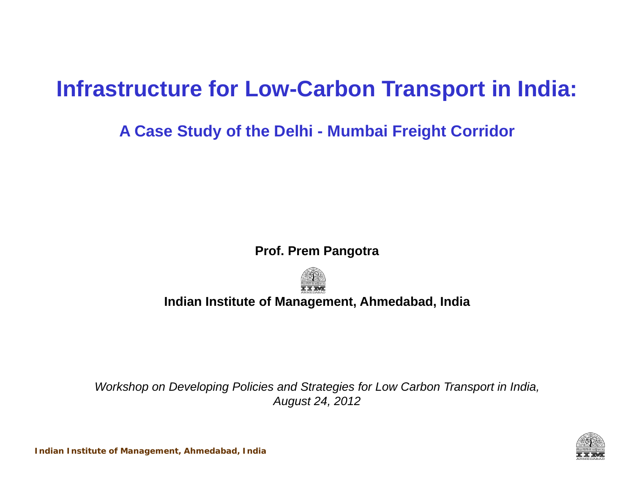## **Infrastructure for Low-Carbon Transport in India:**

### **A Case Study of the Delhi - Mumbai Freight Corridor**

#### **Prof. Prem Pangotra**



#### **Indian Institute of Management, Ahmedabad, India**

*Workshop on Developing Policies and Strategies for Low Carbon Transport in India, August 24, 2012*

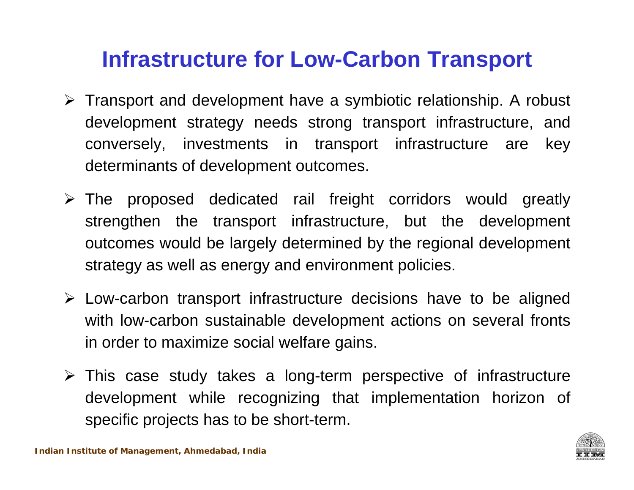### **Infrastructure for Low-Carbon Transport**

- Transport and development have <sup>a</sup> symbiotic relationship. A robust development strategy needs strong transport infrastructure, and conversely, investments in transport infrastructure are key determinants of development outcomes.
- The proposed dedicated rail freight corridors would greatly strengthen the transport infrastructure, but the development outcomes would be largely determined by the regional development strategy as well as energy and environment policies.
- Low-carbon transport infrastructure decisions have to be aligned with low-carbon sustainable development actions on several fronts in order to maximize social welfare gains.
- This case study takes <sup>a</sup> long-term perspective of infrastructure development while recognizing that implementation horizon of specific projects has to be short-term.

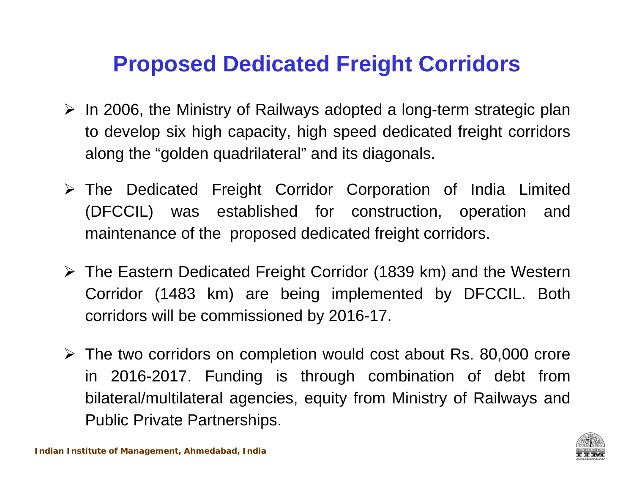## **Proposed Dedicated Freight Corridors**

- $\triangleright$  In 2006, the Ministry of Railways adopted a long-term strategic plan to develop six high capacity, high speed dedicated freight corridors along the "golden quadrilateral" and its diagonals.
- The Dedicated Freight Corridor Corporation of India Limited (DFCCIL) was established for construction, operation and maintenance of the proposed dedicated freight corridors.
- The Eastern Dedicated Freight Corridor (1839 km) and the Western Corridor (1483 km) are being implemented by DFCCIL. Both corridors will be commissioned by 2016-17.
- The two corridors on completion would cost about Rs. 80,000 crore in 2016-2017. Funding is through combination of debt from bilateral/multilateral agencies, equity from Ministry of Railways and Public Private Partnerships.

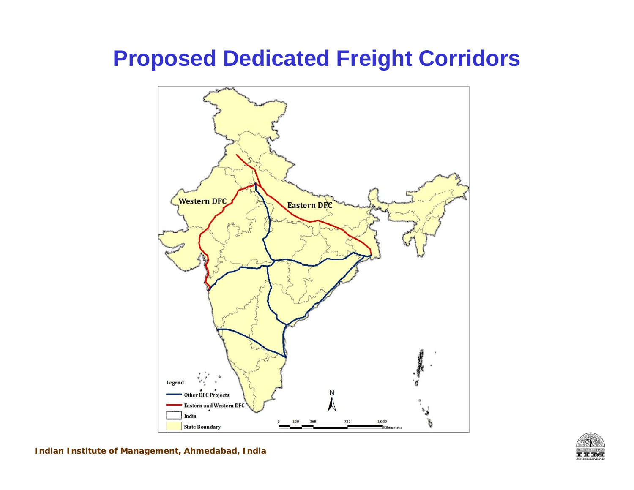### **Proposed Dedicated Freight Corridors**





**Indian Institute of Management, Ahmedabad, India**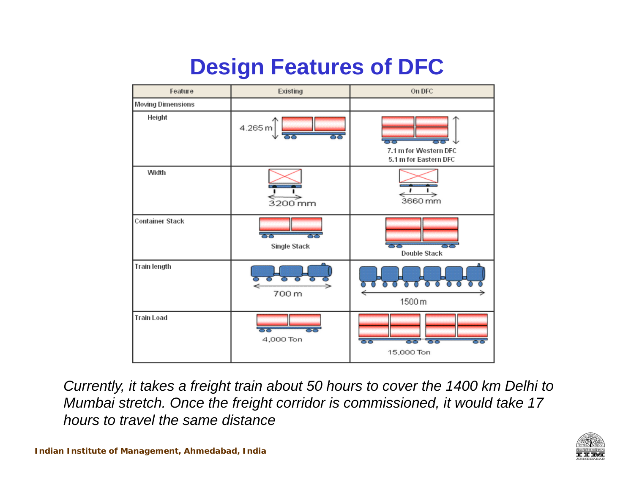# **Design Features of DFC**



*Currently, it takes a freight train about 50 hours to cover the 1400 km Delhi to Mumbai stretch. Once the freight corridor is commissioned, it would take 17 hours to travel the same distance*

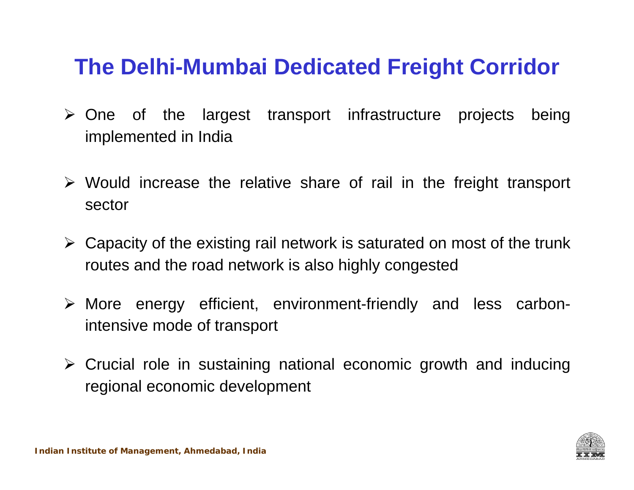## **The Delhi-Mumbai Dedicated Freight Corridor**

- $\triangleright$  One of the largest transport infrastructure projects being implemented in India
- Would increase the relative share of rail in the freight transport sector
- $\triangleright$  Capacity of the existing rail network is saturated on most of the trunk routes and the road network is also highly congested
- More energy efficient, environment-friendly and less carbonintensive mode of transport
- Crucial role in sustaining national economic growth and inducing regional economic development

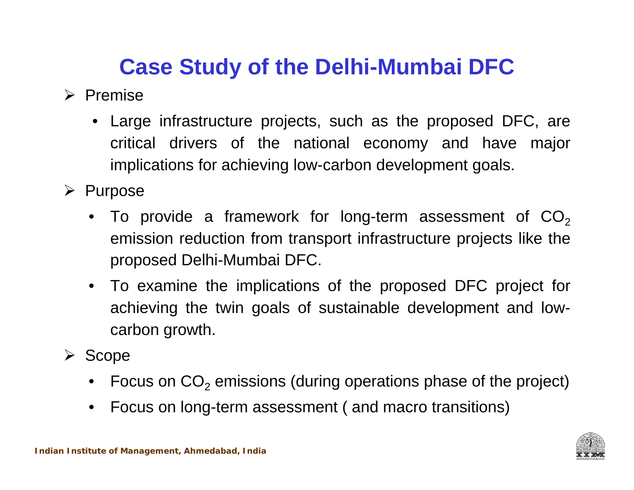## **Case Study of the Delhi-Mumbai DFC**

 $\triangleright$  Premise

- Large infrastructure projects, such as the proposed DFC, are critical drivers of the national economy and have major implications for achieving low-carbon development goals.
- $\triangleright$  Purpose
	- $\bullet$  To provide a framework for long-term assessment of CO $_2$ emission reduction from transport infrastructure projects like the proposed Delhi-Mumbai DFC.
	- To examine the implications of the proposed DFC project for achieving the twin goals of sustainable development and lowcarbon growth.
- $\triangleright$  Scope
	- •Focus on  $CO<sub>2</sub>$  emissions (during operations phase of the project)
	- $\bullet$ Focus on long-term assessment ( and macro transitions)

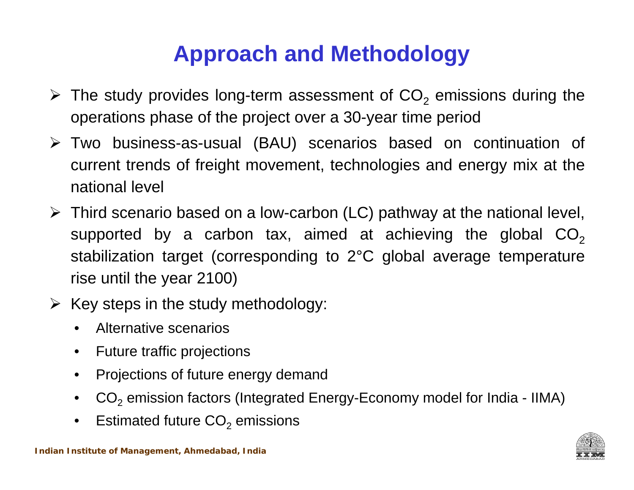## **Approach and Methodology**

- $\triangleright$  The study provides long-term assessment of CO<sub>2</sub> emissions during the operations phase of the project over <sup>a</sup> 30-year time period
- Two business-as-usual (BAU) scenarios based on continuation of current trends of freight movement, technologies and energy mix at the national level
- Third scenario based on <sup>a</sup> low-carbon (LC) pathway at the national level, supported by a carbon tax, aimed at achieving the global  $\mathsf{CO}_{2}$ stabilization target (corresponding to 2°C global average temperature rise until the year 2100)
- $\triangleright$  Key steps in the study methodology:
	- $\bullet$ Alternative scenarios
	- Future traffic projections
	- $\bullet$ Projections of future energy demand
	- $\bullet$   $\;\;$  CO $_2$  emission factors (Integrated Energy-Economy model for India IIMA)
	- $\bullet$ Estimated future  $\mathsf{CO}_2$  emissions

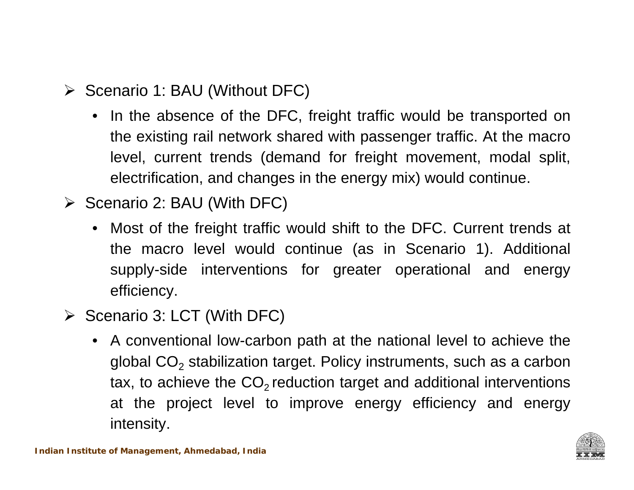- **≻** Scenario 1: BAU (Without DFC)
	- In the absence of the DFC, freight traffic would be transported on the existing rail network shared with passenger traffic. At the macro level, current trends (demand for freight movement, modal split, electrification, and changes in the energy mix) would continue.
- $\triangleright$  Scenario 2: BAU (With DFC)
	- Most of the freight traffic would shift to the DFC. Current trends at the macro level would continue (as in Scenario 1). Additional supply-side interventions for greater operational and energy efficiency.
- $\triangleright$  Scenario 3: LCT (With DFC)
	- A conventional low-carbon path at the national level to achieve the global CO $_2$  stabilization target. Policy instruments, such as a carbon tax, to achieve the CO $_{\textrm{\tiny{2}}}$ reduction target and additional interventions at the project level to improve energy efficiency and energy intensity.

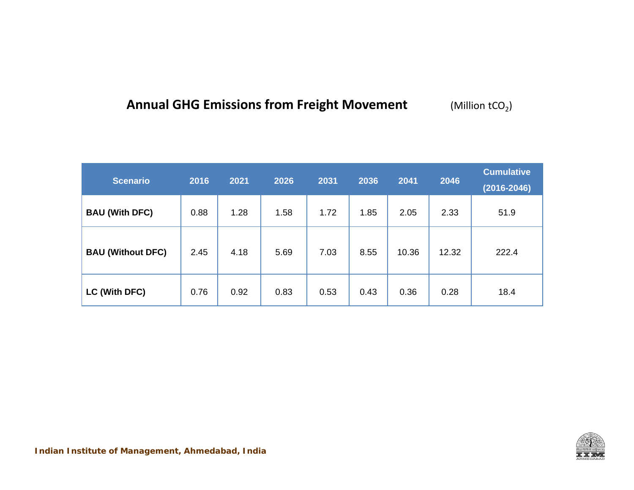#### **Annual GHG Emissions from Freight Movement** (Million tCO2)

| <b>Scenario</b>          | 2016 | 2021 | 2026 | 2031 | 2036 | 2041  | 2046  | <b>Cumulative</b><br>$(2016 - 2046)$ |
|--------------------------|------|------|------|------|------|-------|-------|--------------------------------------|
| <b>BAU (With DFC)</b>    | 0.88 | 1.28 | 1.58 | 1.72 | 1.85 | 2.05  | 2.33  | 51.9                                 |
| <b>BAU (Without DFC)</b> | 2.45 | 4.18 | 5.69 | 7.03 | 8.55 | 10.36 | 12.32 | 222.4                                |
| LC (With DFC)            | 0.76 | 0.92 | 0.83 | 0.53 | 0.43 | 0.36  | 0.28  | 18.4                                 |

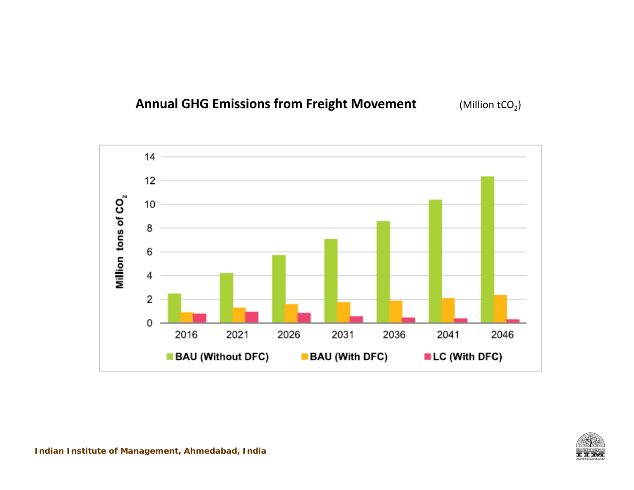#### **Annual GHG Emissions from Freight Movement** (Million tCO2)



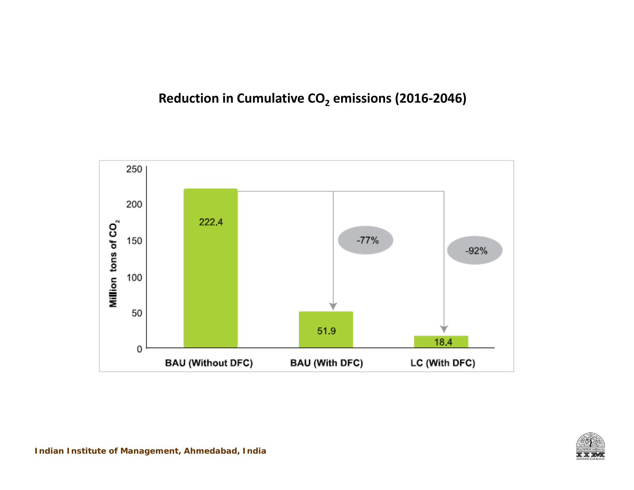### **Reduction in Cumulative CO 2 emissions (2016‐2046)**



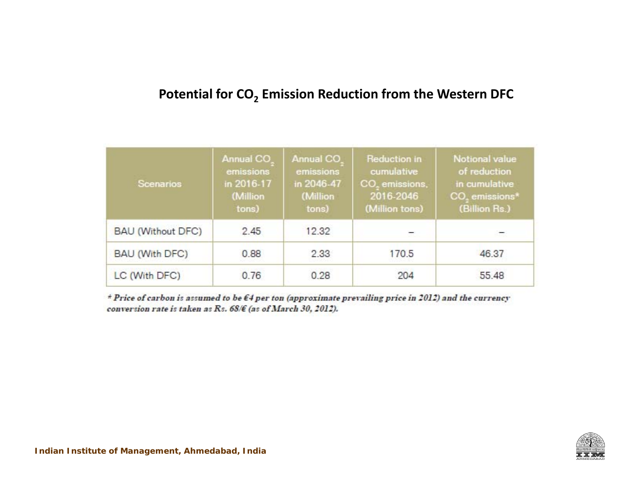### **Potential for CO 2 Emission Reduction from the Western DFC**

| <b>Scenarios</b>         | Annual CO<br>emissions<br>in 2016-17<br>(Million<br>tons) | <b>Annual CO</b><br>emissions<br>in 2046-47<br>(Million<br>tons) | <b>Reduction in</b><br>cumulative<br>CO, emissions,<br>2016-2046<br>(Million tons) | <b>Notional value</b><br>of reduction<br>in cumulative<br>CO <sub>2</sub> emissions <sup>*</sup><br>(Billion Rs.) |
|--------------------------|-----------------------------------------------------------|------------------------------------------------------------------|------------------------------------------------------------------------------------|-------------------------------------------------------------------------------------------------------------------|
| <b>BAU (Without DFC)</b> | 2.45                                                      | 12.32                                                            |                                                                                    |                                                                                                                   |
| BAU (With DFC)           | 0.88                                                      | 2.33                                                             | 170.5                                                                              | 46.37                                                                                                             |
| LC (With DFC)            | 0.76                                                      | 0.28                                                             | 204                                                                                | 55.48                                                                                                             |

\* Price of carbon is assumed to be  $\epsilon$ 4 per ton (approximate prevailing price in 2012) and the currency conversion rate is taken as Rs. 68/€ (as of March 30, 2012).

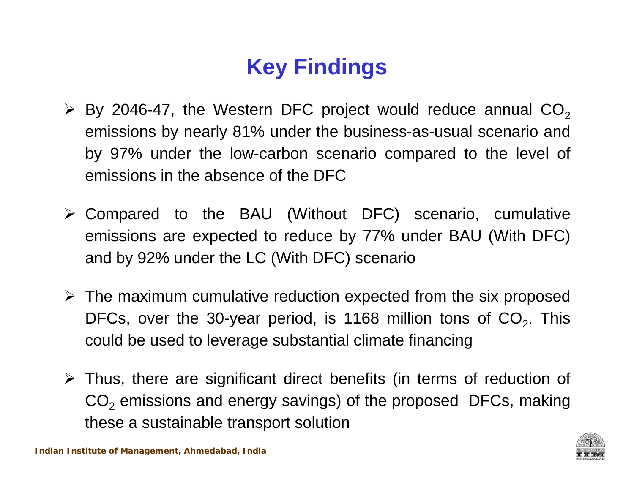# **Key Findings**

- $\triangleright$  By 2046-47, the Western DFC project would reduce annual CO<sub>2</sub> emissions by nearly 81% under the business-as-usual scenario and by 97% under the low-carbon scenario compared to the level of emissions in the absence of the DFC
- Compared to the BAU (Without DFC) scenario, cumulative emissions are expected to reduce by 77% under BAU (With DFC) and by 92% under the LC (With DFC) scenario
- $\triangleright$  The maximum cumulative reduction expected from the six proposed DFCs, over the 30-year period, is 1168 million tons of CO<sub>2</sub>. This could be used to leverage substantial climate financing
- Thus, there are significant direct benefits (in terms of reduction of  $\mathsf{CO}_2$  emissions and energy savings) of the proposed  $\mathsf{DFCs}\text{, making}$ these <sup>a</sup> sustainable transport solution

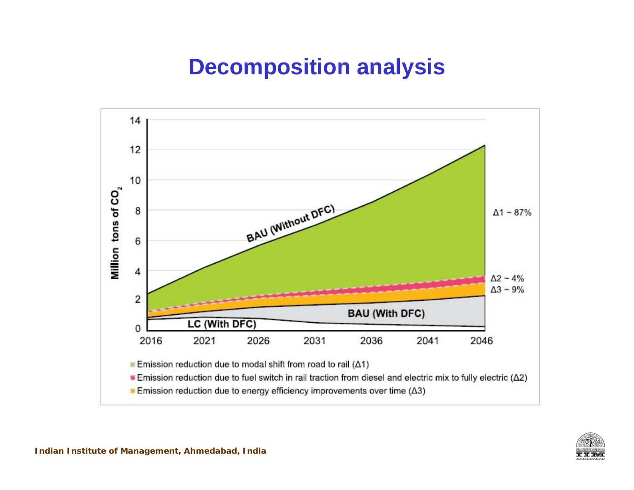## **Decomposition analysis**



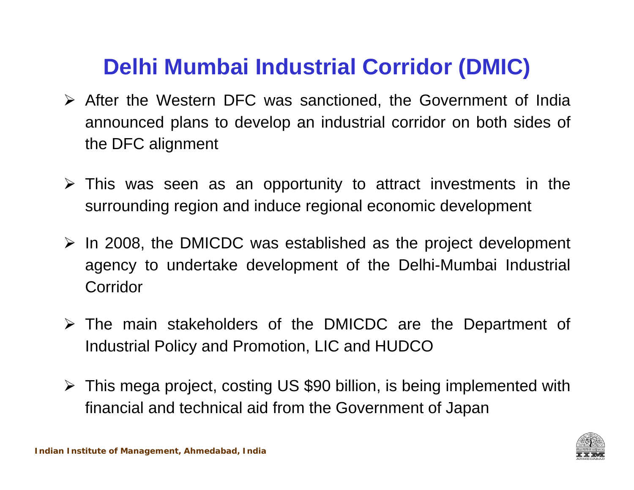## **Delhi Mumbai Industrial Corridor (DMIC)**

- After the Western DFC was sanctioned, the Government of India announced plans to develop an industrial corridor on both sides of the DFC alignment
- $\triangleright$  This was seen as an opportunity to attract investments in the surrounding region and induce regional economic development
- $\triangleright$  In 2008, the DMICDC was established as the project development agency to undertake development of the Delhi-Mumbai Industrial Corridor
- The main stakeholders of the DMICDC are the Department of Industrial Policy and Promotion, LIC and HUDCO
- This mega project, costing US \$90 billion, is being implemented with financial and technical aid from the Government of Japan

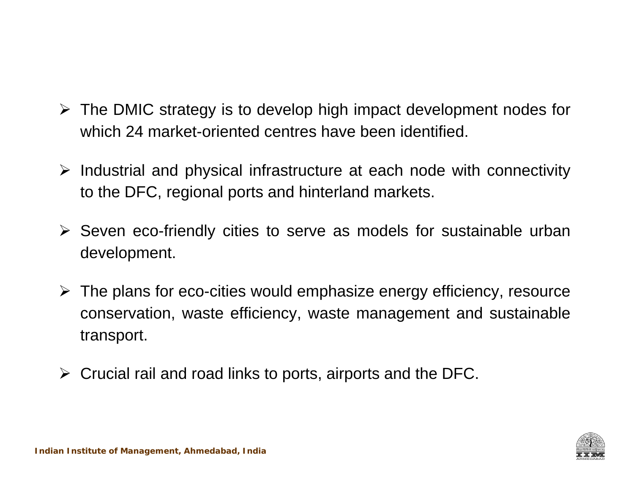- The DMIC strategy is to develop high impact development nodes for which 24 market-oriented centres have been identified.
- $\triangleright$  Industrial and physical infrastructure at each node with connectivity to the DFC, regional ports and hinterland markets.
- Seven eco-friendly cities to serve as models for sustainable urban development.
- $\triangleright$  The plans for eco-cities would emphasize energy efficiency, resource conservation, waste efficiency, waste management and sustainable transport.
- $\triangleright$  Crucial rail and road links to ports, airports and the DFC.

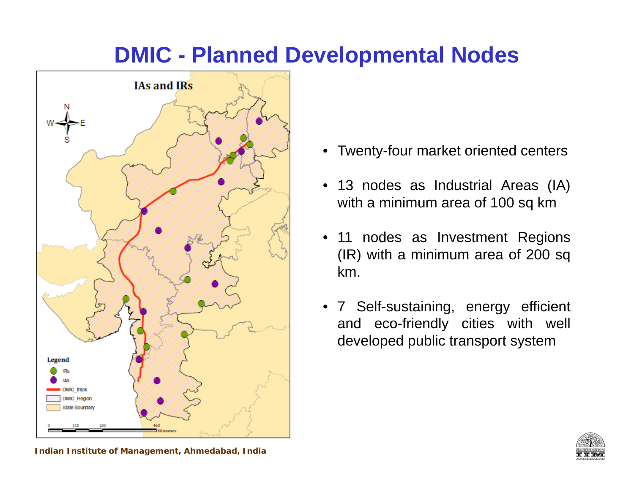### **DMIC - Planned Developmental Nodes**



- Twenty-four market oriented centers
- 13 nodes as Industrial Areas (IA) with <sup>a</sup> minimum area of 100 sq km
- • 11 nodes as Investment Regions (IR) with <sup>a</sup> minimum area of 200 sq km.
- 7 Self-sustaining, energy efficient and eco-friendly cities with well developed public transport system



**Indian Institute of Management, Ahmedabad, India**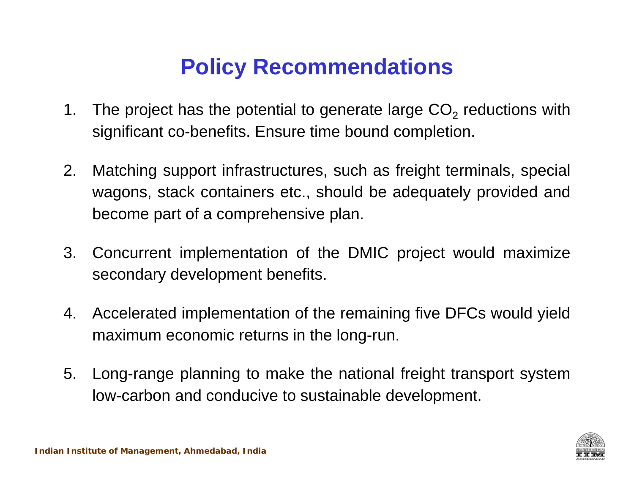## **Policy Recommendations**

- 1. The project has the potential to generate large CO $_2$  reductions with significant co-benefits. Ensure time bound completion.
- 2. Matching support infrastructures, such as freight terminals, special wagons, stack containers etc., should be adequately provided and become part of <sup>a</sup> comprehensive plan.
- 3. Concurrent implementation of the DMIC project would maximize secondary development benefits.
- 4. Accelerated implementation of the remaining five DFCs would yield maximum economic returns in the long-run.
- 5. Long-range planning to make the national freight transport system low-carbon and conducive to sustainable development.